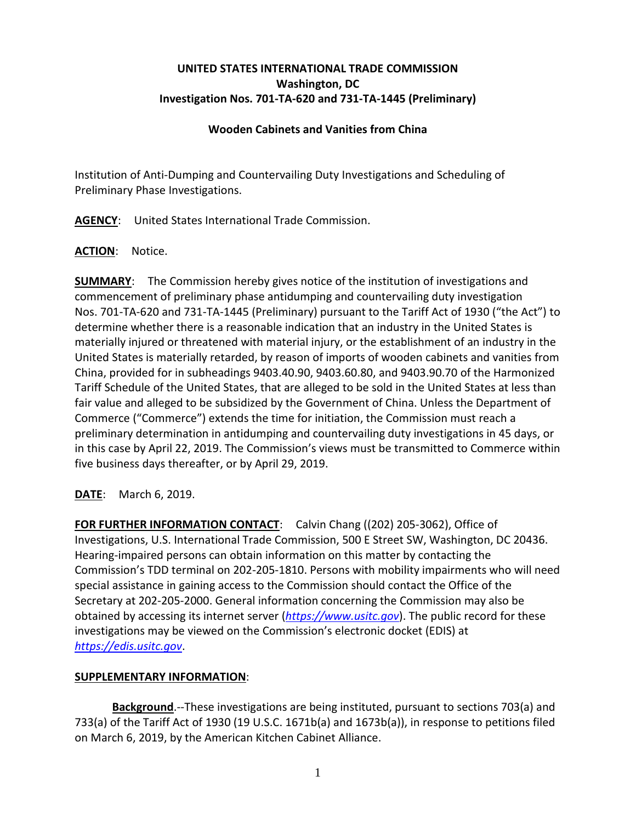# **UNITED STATES INTERNATIONAL TRADE COMMISSION Washington, DC Investigation Nos. 701-TA-620 and 731-TA-1445 (Preliminary)**

### **Wooden Cabinets and Vanities from China**

Institution of Anti-Dumping and Countervailing Duty Investigations and Scheduling of Preliminary Phase Investigations.

**AGENCY**: United States International Trade Commission.

### **ACTION**: Notice.

**SUMMARY**: The Commission hereby gives notice of the institution of investigations and commencement of preliminary phase antidumping and countervailing duty investigation Nos. 701-TA-620 and 731-TA-1445 (Preliminary) pursuant to the Tariff Act of 1930 ("the Act") to determine whether there is a reasonable indication that an industry in the United States is materially injured or threatened with material injury, or the establishment of an industry in the United States is materially retarded, by reason of imports of wooden cabinets and vanities from China, provided for in subheadings 9403.40.90, 9403.60.80, and 9403.90.70 of the Harmonized Tariff Schedule of the United States, that are alleged to be sold in the United States at less than fair value and alleged to be subsidized by the Government of China. Unless the Department of Commerce ("Commerce") extends the time for initiation, the Commission must reach a preliminary determination in antidumping and countervailing duty investigations in 45 days, or in this case by April 22, 2019. The Commission's views must be transmitted to Commerce within five business days thereafter, or by April 29, 2019.

# **DATE**: March 6, 2019.

**FOR FURTHER INFORMATION CONTACT**: Calvin Chang ((202) 205-3062), Office of Investigations, U.S. International Trade Commission, 500 E Street SW, Washington, DC 20436. Hearing-impaired persons can obtain information on this matter by contacting the Commission's TDD terminal on 202-205-1810. Persons with mobility impairments who will need special assistance in gaining access to the Commission should contact the Office of the Secretary at 202-205-2000. General information concerning the Commission may also be obtained by accessing its internet server (*[https://www.usitc.gov](https://www.usitc.gov/)*). The public record for these investigations may be viewed on the Commission's electronic docket (EDIS) at *[https://edis.usitc.gov](https://edis.usitc.gov/)*.

### **SUPPLEMENTARY INFORMATION**:

**Background**.--These investigations are being instituted, pursuant to sections 703(a) and 733(a) of the Tariff Act of 1930 (19 U.S.C. 1671b(a) and 1673b(a)), in response to petitions filed on March 6, 2019, by the American Kitchen Cabinet Alliance.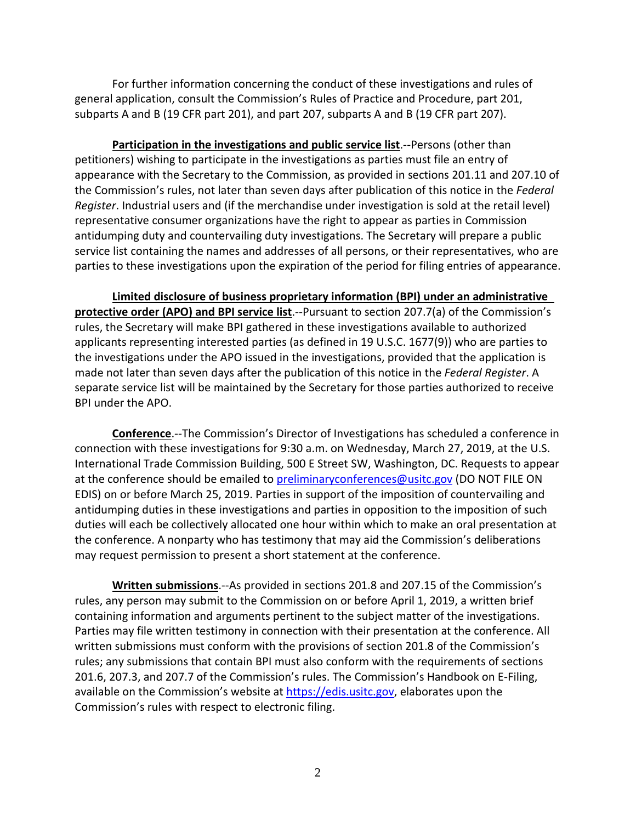For further information concerning the conduct of these investigations and rules of general application, consult the Commission's Rules of Practice and Procedure, part 201, subparts A and B (19 CFR part 201), and part 207, subparts A and B (19 CFR part 207).

**Participation in the investigations and public service list**.--Persons (other than petitioners) wishing to participate in the investigations as parties must file an entry of appearance with the Secretary to the Commission, as provided in sections 201.11 and 207.10 of the Commission's rules, not later than seven days after publication of this notice in the *Federal Register*. Industrial users and (if the merchandise under investigation is sold at the retail level) representative consumer organizations have the right to appear as parties in Commission antidumping duty and countervailing duty investigations. The Secretary will prepare a public service list containing the names and addresses of all persons, or their representatives, who are parties to these investigations upon the expiration of the period for filing entries of appearance.

**Limited disclosure of business proprietary information (BPI) under an administrative protective order (APO) and BPI service list**.--Pursuant to section 207.7(a) of the Commission's rules, the Secretary will make BPI gathered in these investigations available to authorized applicants representing interested parties (as defined in 19 U.S.C. 1677(9)) who are parties to the investigations under the APO issued in the investigations, provided that the application is made not later than seven days after the publication of this notice in the *Federal Register*. A separate service list will be maintained by the Secretary for those parties authorized to receive BPI under the APO.

**Conference**.--The Commission's Director of Investigations has scheduled a conference in connection with these investigations for 9:30 a.m. on Wednesday, March 27, 2019, at the U.S. International Trade Commission Building, 500 E Street SW, Washington, DC. Requests to appear at the conference should be emailed to [preliminaryconferences@usitc.gov](mailto:preliminaryconferences@usitc.gov) (DO NOT FILE ON EDIS) on or before March 25, 2019. Parties in support of the imposition of countervailing and antidumping duties in these investigations and parties in opposition to the imposition of such duties will each be collectively allocated one hour within which to make an oral presentation at the conference. A nonparty who has testimony that may aid the Commission's deliberations may request permission to present a short statement at the conference.

**Written submissions**.--As provided in sections 201.8 and 207.15 of the Commission's rules, any person may submit to the Commission on or before April 1, 2019, a written brief containing information and arguments pertinent to the subject matter of the investigations. Parties may file written testimony in connection with their presentation at the conference. All written submissions must conform with the provisions of section 201.8 of the Commission's rules; any submissions that contain BPI must also conform with the requirements of sections 201.6, 207.3, and 207.7 of the Commission's rules. The Commission's Handbook on E-Filing, available on the Commission's website at [https://edis.usitc.gov,](https://edis.usitc.gov/) elaborates upon the Commission's rules with respect to electronic filing.